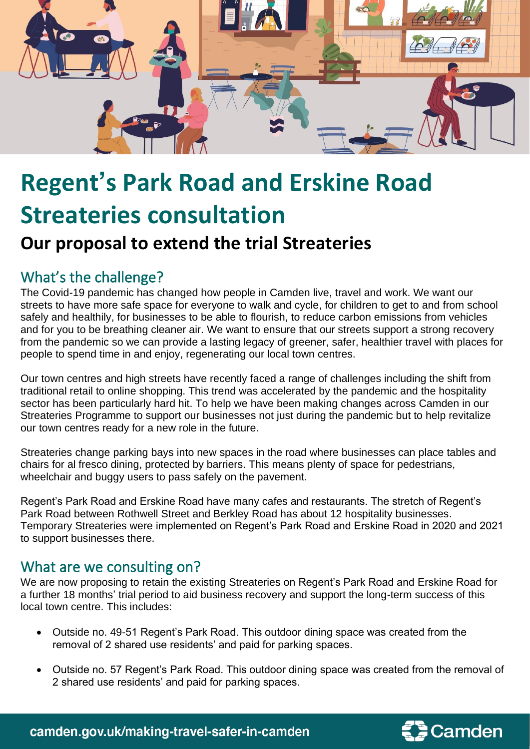

## **Regent's Park Road and Erskine Road Streateries consultation**

## **Our proposal to extend the trial Streateries**

## What's the challenge?

The Covid-19 pandemic has changed how people in Camden live, travel and work. We want our streets to have more safe space for everyone to walk and cycle, for children to get to and from school safely and healthily, for businesses to be able to flourish, to reduce carbon emissions from vehicles and for you to be breathing cleaner air. We want to ensure that our streets support a strong recovery from the pandemic so we can provide a lasting legacy of greener, safer, healthier travel with places for people to spend time in and enjoy, regenerating our local town centres.

Our town centres and high streets have recently faced a range of challenges including the shift from traditional retail to online shopping. This trend was accelerated by the pandemic and the hospitality sector has been particularly hard hit. To help we have been making changes across Camden in our Streateries Programme to support our businesses not just during the pandemic but to help revitalize our town centres ready for a new role in the future.

Streateries change parking bays into new spaces in the road where businesses can place tables and chairs for al fresco dining, protected by barriers. This means plenty of space for pedestrians, wheelchair and buggy users to pass safely on the pavement.

Regent's Park Road and Erskine Road have many cafes and restaurants. The stretch of Regent's Park Road between Rothwell Street and Berkley Road has about 12 hospitality businesses. Temporary Streateries were implemented on Regent's Park Road and Erskine Road in 2020 and 2021 to support businesses there.

## What are we consulting on?

We are now proposing to retain the existing Streateries on Regent's Park Road and Erskine Road for a further 18 months' trial period to aid business recovery and support the long-term success of this local town centre. This includes:

- Outside no. 49-51 Regent's Park Road. This outdoor dining space was created from the removal of 2 shared use residents' and paid for parking spaces.
- Outside no. 57 Regent's Park Road. This outdoor dining space was created from the removal of 2 shared use residents' and paid for parking spaces.